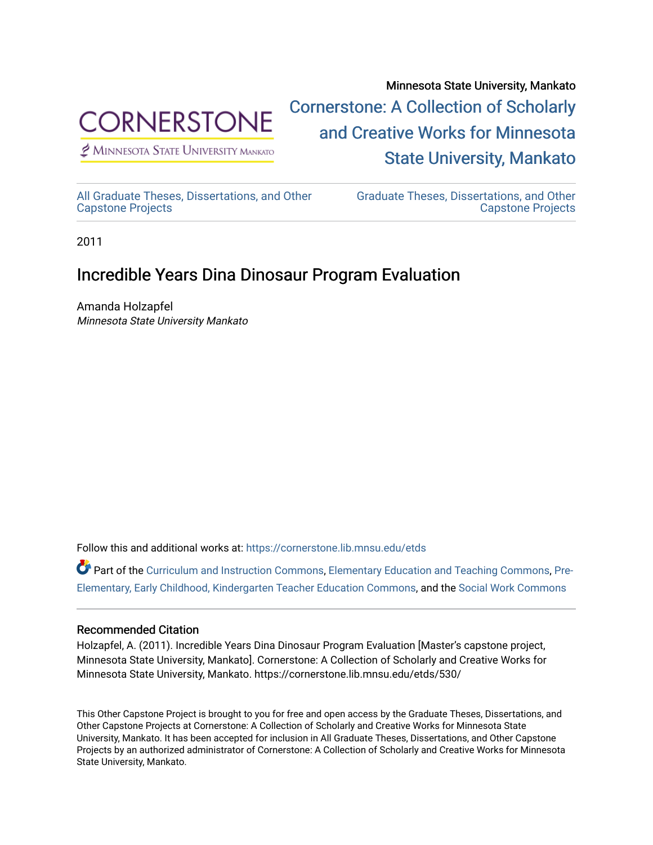

 $\n *P* MINNESOTA STATE UNIVERSITY MANKATO\n$ 

Minnesota State University, Mankato [Cornerstone: A Collection of Scholarly](https://cornerstone.lib.mnsu.edu/)  [and Creative Works for Minnesota](https://cornerstone.lib.mnsu.edu/)  [State University, Mankato](https://cornerstone.lib.mnsu.edu/) 

[All Graduate Theses, Dissertations, and Other](https://cornerstone.lib.mnsu.edu/etds)  [Capstone Projects](https://cornerstone.lib.mnsu.edu/etds) 

[Graduate Theses, Dissertations, and Other](https://cornerstone.lib.mnsu.edu/theses_dissertations-capstone)  [Capstone Projects](https://cornerstone.lib.mnsu.edu/theses_dissertations-capstone) 

2011

### Incredible Years Dina Dinosaur Program Evaluation

Amanda Holzapfel Minnesota State University Mankato

Follow this and additional works at: [https://cornerstone.lib.mnsu.edu/etds](https://cornerstone.lib.mnsu.edu/etds?utm_source=cornerstone.lib.mnsu.edu%2Fetds%2F530&utm_medium=PDF&utm_campaign=PDFCoverPages) 

Part of the [Curriculum and Instruction Commons,](http://network.bepress.com/hgg/discipline/786?utm_source=cornerstone.lib.mnsu.edu%2Fetds%2F530&utm_medium=PDF&utm_campaign=PDFCoverPages) [Elementary Education and Teaching Commons,](http://network.bepress.com/hgg/discipline/805?utm_source=cornerstone.lib.mnsu.edu%2Fetds%2F530&utm_medium=PDF&utm_campaign=PDFCoverPages) [Pre-](http://network.bepress.com/hgg/discipline/808?utm_source=cornerstone.lib.mnsu.edu%2Fetds%2F530&utm_medium=PDF&utm_campaign=PDFCoverPages)[Elementary, Early Childhood, Kindergarten Teacher Education Commons](http://network.bepress.com/hgg/discipline/808?utm_source=cornerstone.lib.mnsu.edu%2Fetds%2F530&utm_medium=PDF&utm_campaign=PDFCoverPages), and the [Social Work Commons](http://network.bepress.com/hgg/discipline/713?utm_source=cornerstone.lib.mnsu.edu%2Fetds%2F530&utm_medium=PDF&utm_campaign=PDFCoverPages)

#### Recommended Citation

Holzapfel, A. (2011). Incredible Years Dina Dinosaur Program Evaluation [Master's capstone project, Minnesota State University, Mankato]. Cornerstone: A Collection of Scholarly and Creative Works for Minnesota State University, Mankato. https://cornerstone.lib.mnsu.edu/etds/530/

This Other Capstone Project is brought to you for free and open access by the Graduate Theses, Dissertations, and Other Capstone Projects at Cornerstone: A Collection of Scholarly and Creative Works for Minnesota State University, Mankato. It has been accepted for inclusion in All Graduate Theses, Dissertations, and Other Capstone Projects by an authorized administrator of Cornerstone: A Collection of Scholarly and Creative Works for Minnesota State University, Mankato.